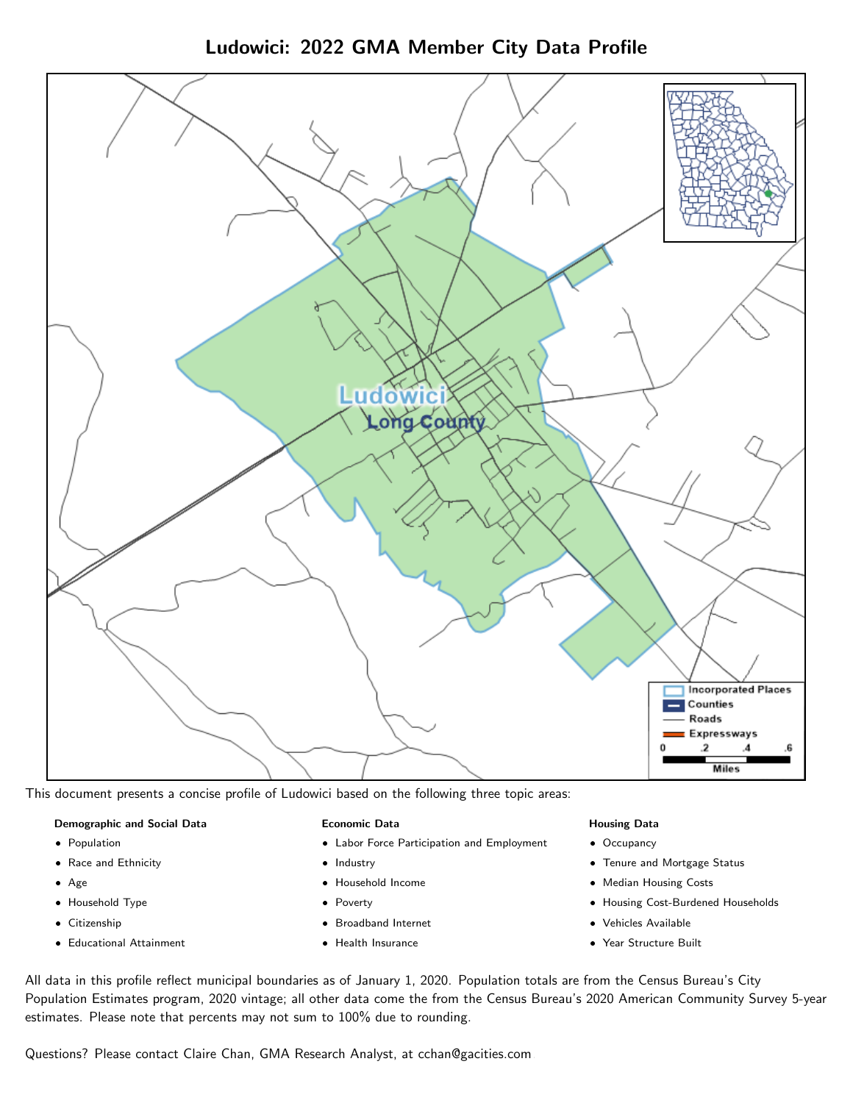



This document presents a concise profile of Ludowici based on the following three topic areas:

#### Demographic and Social Data

- **•** Population
- Race and Ethnicity
- Age
- Household Type
- **Citizenship**
- Educational Attainment

#### Economic Data

- Labor Force Participation and Employment
- Industry
- Household Income
- Poverty
- Broadband Internet
- Health Insurance

#### Housing Data

- Occupancy
- Tenure and Mortgage Status
- Median Housing Costs
- Housing Cost-Burdened Households
- Vehicles Available
- Year Structure Built

All data in this profile reflect municipal boundaries as of January 1, 2020. Population totals are from the Census Bureau's City Population Estimates program, 2020 vintage; all other data come the from the Census Bureau's 2020 American Community Survey 5-year estimates. Please note that percents may not sum to 100% due to rounding.

Questions? Please contact Claire Chan, GMA Research Analyst, at [cchan@gacities.com.](mailto:cchan@gacities.com)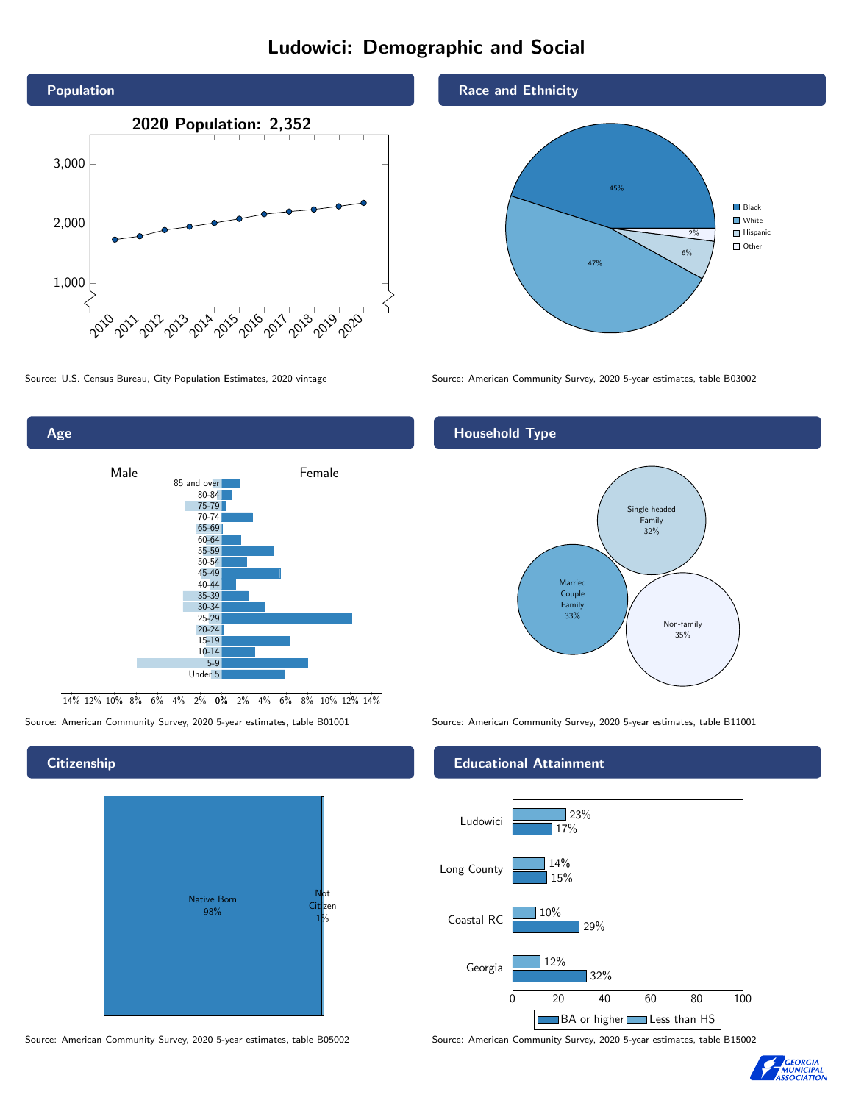# Ludowici: Demographic and Social





## **Citizenship**



Source: American Community Survey, 2020 5-year estimates, table B05002 Source: American Community Survey, 2020 5-year estimates, table B15002

#### Race and Ethnicity



Source: U.S. Census Bureau, City Population Estimates, 2020 vintage Source: American Community Survey, 2020 5-year estimates, table B03002

# Household Type



Source: American Community Survey, 2020 5-year estimates, table B01001 Source: American Community Survey, 2020 5-year estimates, table B11001

#### Educational Attainment



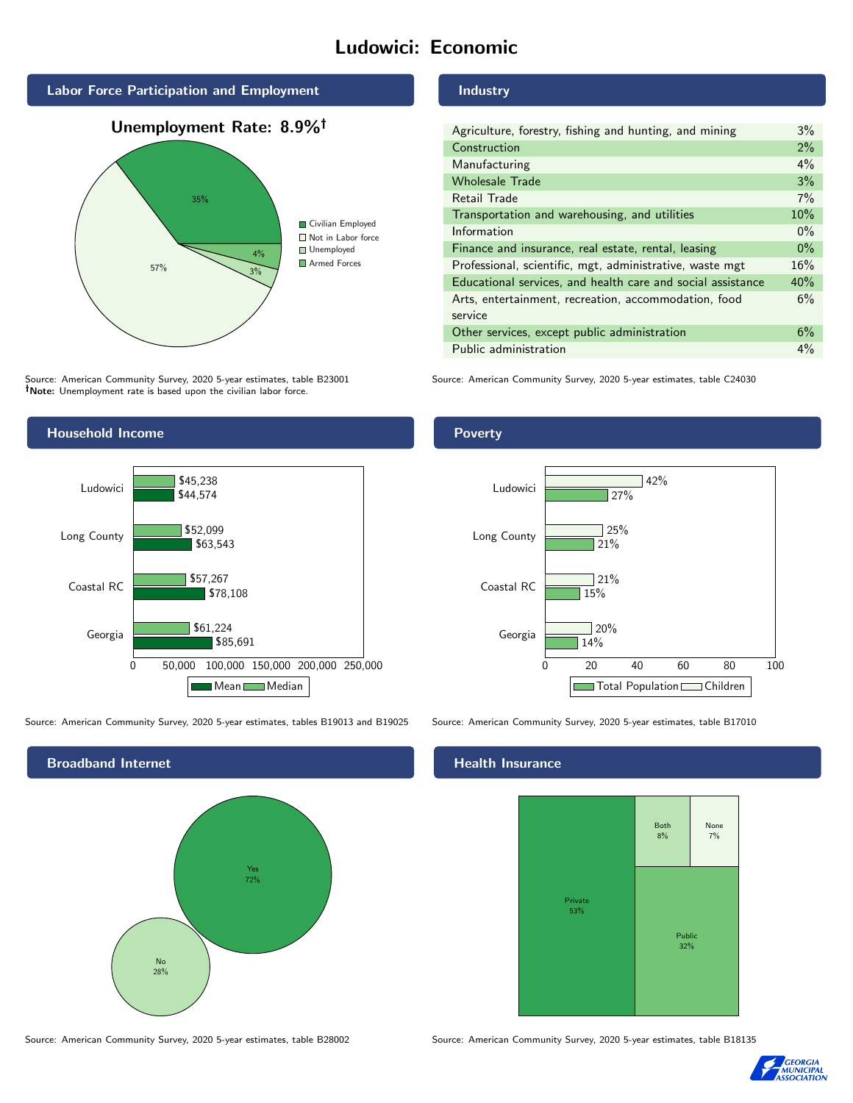# Ludowici: Economic







Source: American Community Survey, 2020 5-year estimates, table B23001 Note: Unemployment rate is based upon the civilian labor force.



Source: American Community Survey, 2020 5-year estimates, tables B19013 and B19025 Source: American Community Survey, 2020 5-year estimates, table B17010



#### Industry

| Agriculture, forestry, fishing and hunting, and mining      | $3\%$ |
|-------------------------------------------------------------|-------|
| Construction                                                | 2%    |
| Manufacturing                                               | 4%    |
| <b>Wholesale Trade</b>                                      | 3%    |
| Retail Trade                                                | 7%    |
| Transportation and warehousing, and utilities               | 10%   |
| Information                                                 | $0\%$ |
| Finance and insurance, real estate, rental, leasing         | $0\%$ |
| Professional, scientific, mgt, administrative, waste mgt    | 16%   |
| Educational services, and health care and social assistance | 40%   |
| Arts, entertainment, recreation, accommodation, food        | 6%    |
| service                                                     |       |
| Other services, except public administration                | 6%    |
| Public administration                                       | $4\%$ |

Source: American Community Survey, 2020 5-year estimates, table C24030

## Poverty



# **Health Insurance**



Source: American Community Survey, 2020 5-year estimates, table B28002 Source: American Community Survey, 2020 5-year estimates, table B18135